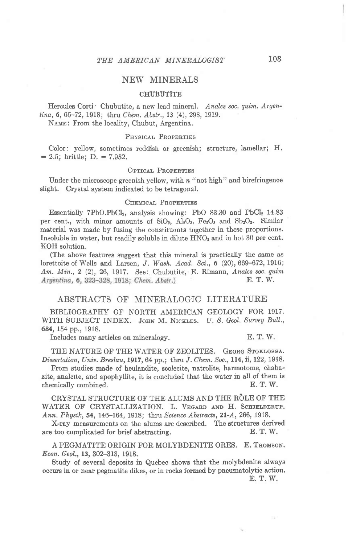# NEW MINERALS

### **CHUBUTITE**

Hercules Corti: Chubutite, a new lead mineral. Anales soc. quim. Argentina, 6, 65-72, 1918; thru Chem. Abstr., 13 (4), 298, 1919.

NAME: From the locality, Chubut, Argentina.

# PHYSICAL PROPERTIES

Color: yellow, sometimes reddish or greenish; structure, lamellar; H.  $= 2.5$ ; brittle; D.  $= 7.952$ .

#### OPTICAL PROPERTIES

Under the microscope greenish yellow, with  $n$  "not high" and birefringence slight, Crystal system indicated to be tetragonal.

### CHEMICAL PROPERTIES

Essentially 7PbO.PbCl<sub>2</sub>, analysis showing: PbO 83.30 and PbCl<sub>2</sub> 14.83 per cent., with minor amounts of  $SiO_2$ ,  $Al_2O_3$ ,  $Fe_2O_3$  and  $Sb_2O_8$ . Similar material was made by fusing the constituents together in these proportions. Insoluble in water, but readily soluble in dilute  $HNO<sub>3</sub>$  and in hot 30 per cent. KOH solution.

(The above features suggest that this mineral is practically the same as lorettoite of Wells and Larsen, J. Wash. Acad. Sci.,  $6$  (20),  $669-672$ , 1916; Am. Min., 2 (2), 26, 1917. See: Chubutite, E. Rimann, Anales soc. quim Argentina, 6, 323-328, 1918; Chem. Abstr.) E. T. W.

### ABSTRACTS OF MINERALOGIC LITERATURE

BIBLIOGRAPHY OF NORTH AMERICAN GEOLOGY FOR 1917. WITH SUBJECT INDEX. JOHN M. NICKLES. U. S. Geol. Survey Bull., 684, 154 pp., 1918.

Includes many articles on mineralogy. E. T. W.

THE NATURE OF THE WATER OF ZEOLITES. GEORG STOKLOSSA. Dissertation, Univ. Breslau, 1917, 64 pp.; thru J. Chem. Soc., 114, ii, 122, 1918.

From studies made of heulandite, scolecite, natrolite, harmotome, chabazite, analcite, and apophyllite, it is concluded that the water in all of them is chemically combined. E. T. W.

CRYSTAL STRUCTURE OF THE ALUMS AND THE RÔLE OF THE WATER OF CRYSTALLIZATION. L. VEGARD AND H. SCHJELDERUP. Ann. Physik, 54, 146-164, 1918; thru Science Abstracts, 21-A, 266, 1918.

X-ray measurements on the alums are described. The structures derived are too complicated for brief abstracting. E. T. W.

A PEGMATITE ORIGIN FOR MOLYBDENITE ORES. E. THOMSON. Econ. Geol,,13, 302-313, 1918.

Study of several deposits in Quebec shows that the molybdenite always occurs in or near pegmatite dikes, or in rocks formed by pneumatolytic action.

E. T. W.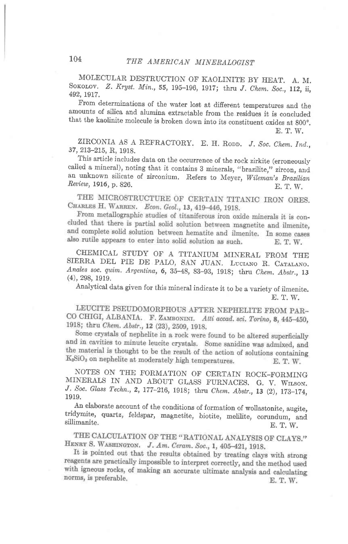MOLECULAR DESTRUCTION OF KAOLINITE BY HEAT. A. M. SOKOLOV. Z. Kryst. Min., 55, 195-196, 1917; thru J. Chem. Soc., 112, ii, 492, 1917.

From determinations of the water lost at different temperatures and the that the kaolinite molecule is broken down into its constituent oxides at 800°.

E, T. W.

ZIRCONIA AS A REFRACTORY. E. H. RODD. J. Soc. Chem. Ind., 37,213-275, R,1glg.

This article includes data on the occurrence of the rock zirkite (erroneously called a mineral), noting that it contains 3 minerals, "brazilite," zircon, and an unknown silicate of zirconium. Refers to Meyer, Wileman's Brazilian Review, 1916, p. 826. E. T. W.

THE MICROSTRUCTURE OF CERTAIN TITANIC IRON ORES. CHARLES H. WARREN. Econ. Geol., 13, 419-446, 1918.

From metallographic studies of titaniferous iron oxide minerals it is concluded that there is partial solid solution between magnetite and ilmenite, and complete solid solution between hematite and ilmenite. In some cases also rutile appears to enter into solid solution as such. E. T. W.

CHEMICAL STUDY OF A TITANIUM MINERAL FROM THE SIERRA DEL PIE DE PALO, SAN JUAN. LUCIANO R. CATALANO. Anales soc. quim. Argentina, 6, 35-48, 83-93, 1918; thru Chem. Abstr., 13 (4), 298, 1919.

Analytical data given for this mineral indicate it to be a variety of ilmenite. E. T. W.

LEUCITE PSEUDOMORPHOUS AFTER NEPHELITE FROM PAR-CO CHIGI, ALBANIA. F. ZAMBONINI. Atti accad. sci. Torino, 8, 445-450, 1918; thru Chem. Abstr., 12 (23), 2509, 1918.

Some crystals of nephelite in a rock were found to be altered superficially and in cavities to minute leucite crystals. Some sanidine was admixed, and the material is thought to be the result of the action of solutions containing K<sub>2</sub>SiO<sub>3</sub> on nephelite at moderately high temperatures. E. T. W.

NOTES ON THE FORMATION OF CERTAIN ROCK-FORMING MINERALS IN AND ABOUT GLASS FURNACES. G. V. WILSON. J. Soc. Glass Techn., 2, 177-216, 1918; thru Chem. Abstr., 13 (2), 173-174, 1919.

An elaborate account of the conditions of formation of wollastonite, augite, tridymite, quartz, feldspar, magnetite, biotite, melilite, corundum, and An elaborate account of the conditions of formation of wollastonite, augite,  $\sum_{n=1}^{\infty}$  is  $\sum_{n=1}^{\infty}$  is  $\sum_{n=1}^{\infty}$ . E. T. W.

THE CALCULATION OF THE "RATIONAL ANALYSIS OF CLAYS." HENRY S. WASHINGTON. J. Am. Ceram. Soc., 1, 405-421, 1918.

It is pointed out that the results obtained by treating clays with strong reagents are practically impossible to interpret correctly, and the method used with igneous rocks, of making an accurate ultimate analysis and calculating norms, is preferable. E. T. W.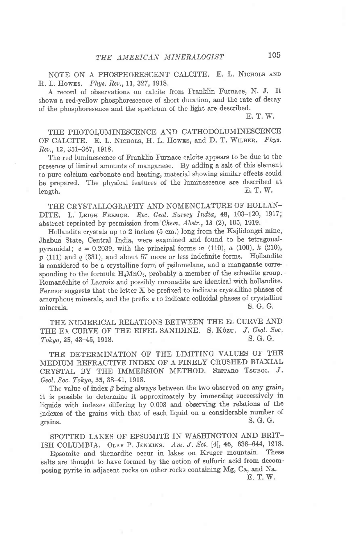NOTE ON A PHOSPHORESCENT CALCITE. E. L. NICHOLS AND H. L. Howes. Phys. Rev., 11, 327, 1918.

A record of observations on calcite from Franklin Furnace, N. J. It shows a red-yellow phosphorescence of short duration, and the rate of decay of the phosphoresence and the spectrum of the light are described.

E. T. W.

THE PHOTOLUMINESCENCE AND CATHODOLUMINESCENCE OF CALCITE. E. L. NICHOLS, H. L. Howes, and D. T. WILBER. Phys. Reu., 12, 351-367, 1918.

The red luminescence of Franklin Furnace calcite appears to be due to the presence of limited amounts of manganese. By adding a salt of this element to pure calcium carbonate and heating, material showing similar effects could be prepared. The physical features of the luminescence are described at length.  $E, T, W$ .  $\mathbb{E}$ . T. W.  $\mathbb{E}$ . T. W.

THE CRYSTALLOGRAPHY AND NOMENCLATURE OF HOLLAN-DITE, L. LEIGH FERMOR. Rec. Geol. Survey India, 48, 103-120, 1917; abstract reprinted by permission from Chem. Abstr., 13 (2), 105, 1919.

Hollandite crystals up to 2 inches (5 cm.) long from the Kajlidongri mine' Jhabua State, Central India, were examined and found to be tetragonal' pyramidal;  $c = 0.2039$ , with the principal forms m (110), a (100), k (210),  $p$  (111) and  $q$  (331), and about 57 more or less indefinite forms. Hollandite is considered to be a crystalline form of psilomelane, and a manganate corresponding to the formula  $H_4MnO_5$ , probably a member of the scheelite group. Romanéchite of Lacroix and possibly coronadite are identical with hollandite. Fermor suggests that the letter X be prefixed to indicate crystalline phases of amorphous minerals, and the prefix x to indicate colloidal phases of crystalline minerals. S. G. G.

THE NUMERICAL RELATIONS BETWEEN THE Et CURVE AND THE EX CURVE OF THE EIFEL SANIDINE. S. Kôzu. J. Geol. Soc.<br> $Tokuo$  25 43-45 1918  $Tokyo$ , 25, 43-45, 1918.

THE DETERMINATION OF THE LIMITING VALUES OF THE MEDIUM REFRACTIVE INDEX OF A FINELY CRUSIIED BIAXIAL CRYSTAL BY THE IMMERSION METHOD. SEITARO TSUBOI.  $J$ . Geol. Soc, Tokyo,35,38-41, 1918.

The value of index  $\beta$  being always between the two observed on any grain, it is possible to determine it approximately by immersing successively in liquids with indexes differing by 0.003 and observing the relations of the indexes of the grains with that of each liquid on a considerable number of grains.<br>S. G. G. grains.  $S. G. G.$ 

SPOTTED LAKES OF EPSOMITE IN WASHINGTON AND BRIT-ISH COLUMBIA. OLAF P. JENKINS. Am. J. Sci. [4], 46, 638-644, 1918.

Epsomite and thenardite occur in lakes on Kruger mountain. These salts are thought to have formed by the action of sulfuric acid from decomposing pyrite in adjacent rocks on other rocks containing Mg, Ca, and Na'

E. T. W.